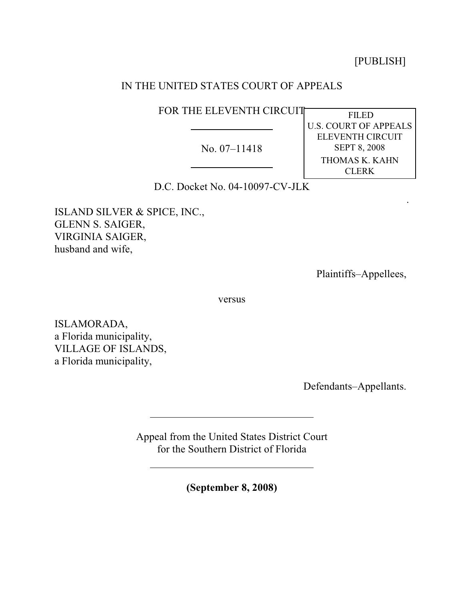[PUBLISH]

.

# IN THE UNITED STATES COURT OF APPEALS

FOR THE ELEVENTH CIRCUIT

No. 07–11418

 FILED U.S. COURT OF APPEALS ELEVENTH CIRCUIT SEPT 8, 2008 THOMAS K. KAHN **CLERK** 

D.C. Docket No. 04-10097-CV-JLK

ISLAND SILVER & SPICE, INC., GLENN S. SAIGER, VIRGINIA SAIGER, husband and wife,

Plaintiffs–Appellees,

versus

ISLAMORADA, a Florida municipality, VILLAGE OF ISLANDS, a Florida municipality,

Defendants–Appellants.

Appeal from the United States District Court for the Southern District of Florida

**(September 8, 2008)**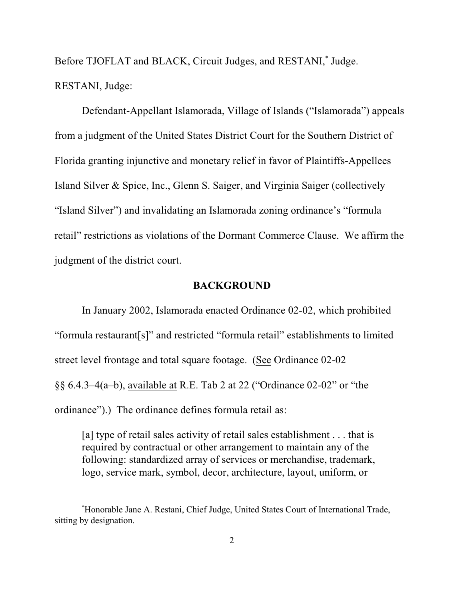Before TJOFLAT and BLACK, Circuit Judges, and RESTANI,<sup>\*</sup> Judge. RESTANI, Judge:

Defendant-Appellant Islamorada, Village of Islands ("Islamorada") appeals from a judgment of the United States District Court for the Southern District of Florida granting injunctive and monetary relief in favor of Plaintiffs-Appellees Island Silver & Spice, Inc., Glenn S. Saiger, and Virginia Saiger (collectively "Island Silver") and invalidating an Islamorada zoning ordinance's "formula retail" restrictions as violations of the Dormant Commerce Clause. We affirm the judgment of the district court.

## **BACKGROUND**

In January 2002, Islamorada enacted Ordinance 02-02, which prohibited "formula restaurant[s]" and restricted "formula retail" establishments to limited street level frontage and total square footage. (See Ordinance 02-02 §§ 6.4.3–4(a–b), available at R.E. Tab 2 at 22 ("Ordinance 02-02" or "the ordinance").) The ordinance defines formula retail as:

[a] type of retail sales activity of retail sales establishment . . . that is required by contractual or other arrangement to maintain any of the following: standardized array of services or merchandise, trademark, logo, service mark, symbol, decor, architecture, layout, uniform, or

Honorable Jane A. Restani, Chief Judge, United States Court of International Trade, \* sitting by designation.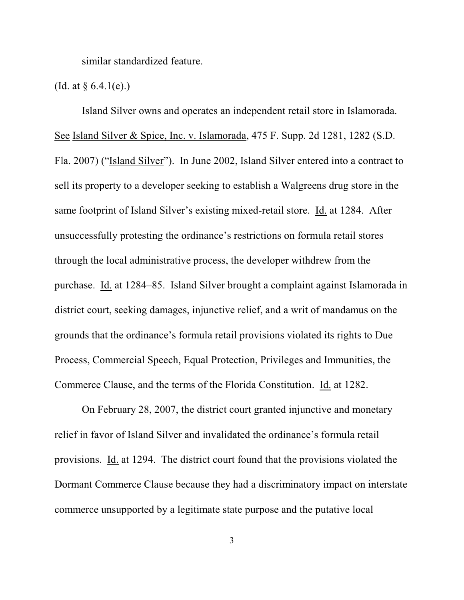similar standardized feature.

## (Id. at  $\S 6.4.1(e)$ .)

Island Silver owns and operates an independent retail store in Islamorada. See Island Silver & Spice, Inc. v. Islamorada, 475 F. Supp. 2d 1281, 1282 (S.D. Fla. 2007) ("Island Silver"). In June 2002, Island Silver entered into a contract to sell its property to a developer seeking to establish a Walgreens drug store in the same footprint of Island Silver's existing mixed-retail store. Id. at 1284. After unsuccessfully protesting the ordinance's restrictions on formula retail stores through the local administrative process, the developer withdrew from the purchase. Id. at 1284–85. Island Silver brought a complaint against Islamorada in district court, seeking damages, injunctive relief, and a writ of mandamus on the grounds that the ordinance's formula retail provisions violated its rights to Due Process, Commercial Speech, Equal Protection, Privileges and Immunities, the Commerce Clause, and the terms of the Florida Constitution. Id. at 1282.

On February 28, 2007, the district court granted injunctive and monetary relief in favor of Island Silver and invalidated the ordinance's formula retail provisions. Id. at 1294. The district court found that the provisions violated the Dormant Commerce Clause because they had a discriminatory impact on interstate commerce unsupported by a legitimate state purpose and the putative local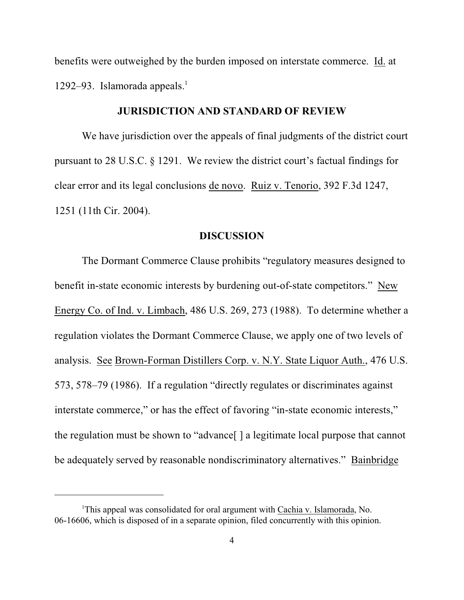benefits were outweighed by the burden imposed on interstate commerce. Id. at 1292–93. Islamorada appeals.<sup>1</sup>

### **JURISDICTION AND STANDARD OF REVIEW**

We have jurisdiction over the appeals of final judgments of the district court pursuant to 28 U.S.C. § 1291. We review the district court's factual findings for clear error and its legal conclusions de novo. Ruiz v. Tenorio, 392 F.3d 1247, 1251 (11th Cir. 2004).

#### **DISCUSSION**

The Dormant Commerce Clause prohibits "regulatory measures designed to benefit in-state economic interests by burdening out-of-state competitors." New Energy Co. of Ind. v. Limbach, 486 U.S. 269, 273 (1988). To determine whether a regulation violates the Dormant Commerce Clause, we apply one of two levels of analysis. See Brown-Forman Distillers Corp. v. N.Y. State Liquor Auth., 476 U.S. 573, 578–79 (1986). If a regulation "directly regulates or discriminates against interstate commerce," or has the effect of favoring "in-state economic interests," the regulation must be shown to "advance[ ] a legitimate local purpose that cannot be adequately served by reasonable nondiscriminatory alternatives." Bainbridge

<sup>&</sup>lt;sup>1</sup>This appeal was consolidated for oral argument with Cachia v. Islamorada, No. 06-16606, which is disposed of in a separate opinion, filed concurrently with this opinion.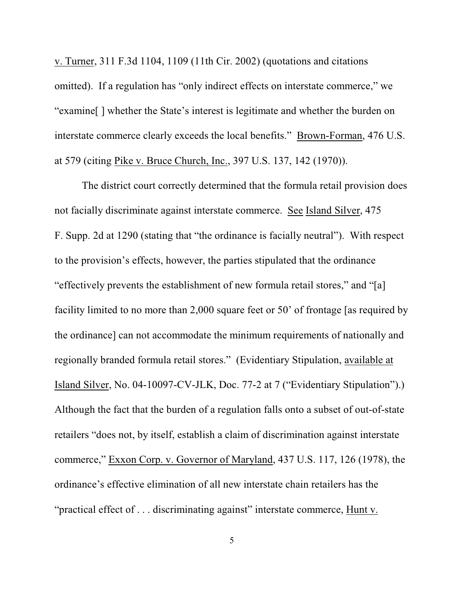v. Turner, 311 F.3d 1104, 1109 (11th Cir. 2002) (quotations and citations omitted). If a regulation has "only indirect effects on interstate commerce," we "examine[ ] whether the State's interest is legitimate and whether the burden on interstate commerce clearly exceeds the local benefits." Brown-Forman, 476 U.S. at 579 (citing Pike v. Bruce Church, Inc., 397 U.S. 137, 142 (1970)).

The district court correctly determined that the formula retail provision does not facially discriminate against interstate commerce. See Island Silver, 475 F. Supp. 2d at 1290 (stating that "the ordinance is facially neutral"). With respect to the provision's effects, however, the parties stipulated that the ordinance "effectively prevents the establishment of new formula retail stores," and "[a] facility limited to no more than 2,000 square feet or 50' of frontage [as required by the ordinance] can not accommodate the minimum requirements of nationally and regionally branded formula retail stores." (Evidentiary Stipulation, available at Island Silver, No. 04-10097-CV-JLK, Doc. 77-2 at 7 ("Evidentiary Stipulation").) Although the fact that the burden of a regulation falls onto a subset of out-of-state retailers "does not, by itself, establish a claim of discrimination against interstate commerce," Exxon Corp. v. Governor of Maryland, 437 U.S. 117, 126 (1978), the ordinance's effective elimination of all new interstate chain retailers has the "practical effect of . . . discriminating against" interstate commerce, Hunt v.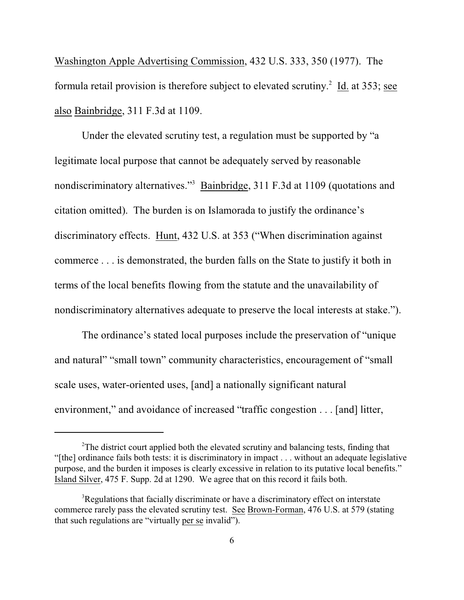Washington Apple Advertising Commission, 432 U.S. 333, 350 (1977). The formula retail provision is therefore subject to elevated scrutiny.<sup>2</sup> Id. at 353; see also Bainbridge, 311 F.3d at 1109.

Under the elevated scrutiny test, a regulation must be supported by "a legitimate local purpose that cannot be adequately served by reasonable nondiscriminatory alternatives."<sup>3</sup> Bainbridge, 311 F.3d at 1109 (quotations and citation omitted). The burden is on Islamorada to justify the ordinance's discriminatory effects. Hunt, 432 U.S. at 353 ("When discrimination against commerce . . . is demonstrated, the burden falls on the State to justify it both in terms of the local benefits flowing from the statute and the unavailability of nondiscriminatory alternatives adequate to preserve the local interests at stake.").

The ordinance's stated local purposes include the preservation of "unique and natural" "small town" community characteristics, encouragement of "small scale uses, water-oriented uses, [and] a nationally significant natural environment," and avoidance of increased "traffic congestion . . . [and] litter,

 $2^2$ The district court applied both the elevated scrutiny and balancing tests, finding that "[the] ordinance fails both tests: it is discriminatory in impact . . . without an adequate legislative purpose, and the burden it imposes is clearly excessive in relation to its putative local benefits." Island Silver, 475 F. Supp. 2d at 1290. We agree that on this record it fails both.

 $R^3$ Regulations that facially discriminate or have a discriminatory effect on interstate commerce rarely pass the elevated scrutiny test. See Brown-Forman, 476 U.S. at 579 (stating that such regulations are "virtually per se invalid").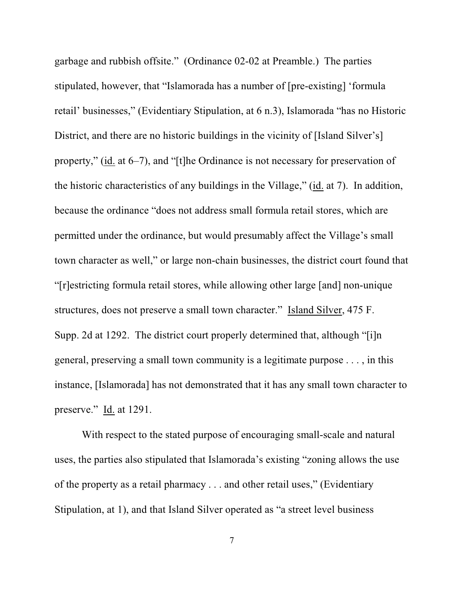garbage and rubbish offsite." (Ordinance 02-02 at Preamble.) The parties stipulated, however, that "Islamorada has a number of [pre-existing] 'formula retail' businesses," (Evidentiary Stipulation, at 6 n.3), Islamorada "has no Historic District, and there are no historic buildings in the vicinity of [Island Silver's] property," (id. at 6–7), and "[t]he Ordinance is not necessary for preservation of the historic characteristics of any buildings in the Village," (id. at 7). In addition, because the ordinance "does not address small formula retail stores, which are permitted under the ordinance, but would presumably affect the Village's small town character as well," or large non-chain businesses, the district court found that "[r]estricting formula retail stores, while allowing other large [and] non-unique structures, does not preserve a small town character." Island Silver, 475 F. Supp. 2d at 1292. The district court properly determined that, although "[i]n general, preserving a small town community is a legitimate purpose . . . , in this instance, [Islamorada] has not demonstrated that it has any small town character to preserve." Id. at 1291.

With respect to the stated purpose of encouraging small-scale and natural uses, the parties also stipulated that Islamorada's existing "zoning allows the use of the property as a retail pharmacy . . . and other retail uses," (Evidentiary Stipulation, at 1), and that Island Silver operated as "a street level business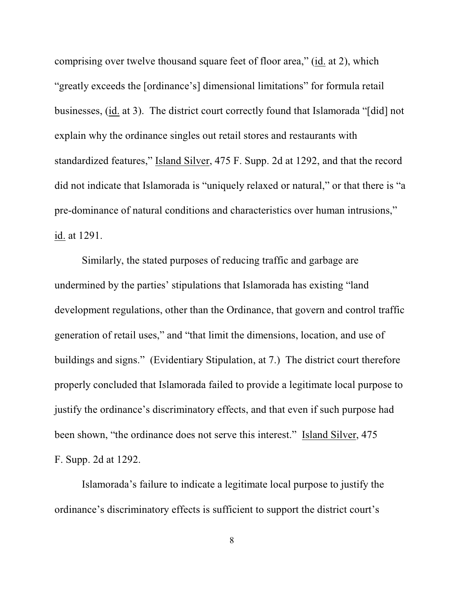comprising over twelve thousand square feet of floor area," (id. at 2), which "greatly exceeds the [ordinance's] dimensional limitations" for formula retail businesses, (id. at 3). The district court correctly found that Islamorada "[did] not explain why the ordinance singles out retail stores and restaurants with standardized features," Island Silver, 475 F. Supp. 2d at 1292, and that the record did not indicate that Islamorada is "uniquely relaxed or natural," or that there is "a pre-dominance of natural conditions and characteristics over human intrusions," id. at 1291.

Similarly, the stated purposes of reducing traffic and garbage are undermined by the parties' stipulations that Islamorada has existing "land development regulations, other than the Ordinance, that govern and control traffic generation of retail uses," and "that limit the dimensions, location, and use of buildings and signs." (Evidentiary Stipulation, at 7.) The district court therefore properly concluded that Islamorada failed to provide a legitimate local purpose to justify the ordinance's discriminatory effects, and that even if such purpose had been shown, "the ordinance does not serve this interest." Island Silver, 475 F. Supp. 2d at 1292.

Islamorada's failure to indicate a legitimate local purpose to justify the ordinance's discriminatory effects is sufficient to support the district court's

8